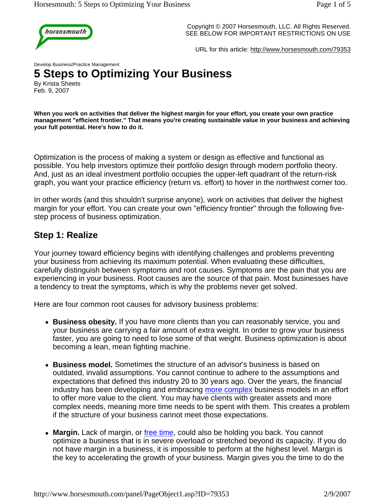

Copyright © 2007 Horsesmouth, LLC. All Rights Reserved. SEE BELOW FOR IMPORTANT RESTRICTIONS ON USE

URL for this article: http://www.horsesmouth.com/79353

Develop Business/Practice Management

# **5 Steps to Optimizing Your Business**

By Krista Sheets Feb. 9, 2007

**When you work on activities that deliver the highest margin for your effort, you create your own practice management "efficient frontier." That means you're creating sustainable value in your business and achieving your full potential. Here's how to do it.** 

Optimization is the process of making a system or design as effective and functional as possible. You help investors optimize their portfolio design through modern portfolio theory. And, just as an ideal investment portfolio occupies the upper-left quadrant of the return-risk graph, you want your practice efficiency (return vs. effort) to hover in the northwest corner too.

In other words (and this shouldn't surprise anyone), work on activities that deliver the highest margin for your effort. You can create your own "efficiency frontier" through the following fivestep process of business optimization.

#### **Step 1: Realize**

Your journey toward efficiency begins with identifying challenges and problems preventing your business from achieving its maximum potential. When evaluating these difficulties, carefully distinguish between symptoms and root causes. Symptoms are the pain that you are experiencing in your business. Root causes are the source of that pain. Most businesses have a tendency to treat the symptoms, which is why the problems never get solved.

Here are four common root causes for advisory business problems:

- Business obesity. If you have more clients than you can reasonably service, you and your business are carrying a fair amount of extra weight. In order to grow your business faster, you are going to need to lose some of that weight. Business optimization is about becoming a lean, mean fighting machine.
- **Business model.** Sometimes the structure of an advisor's business is based on outdated, invalid assumptions. You cannot continue to adhere to the assumptions and expectations that defined this industry 20 to 30 years ago. Over the years, the financial industry has been developing and embracing more complex business models in an effort to offer more value to the client. You may have clients with greater assets and more complex needs, meaning more time needs to be spent with them. This creates a problem if the structure of your business cannot meet those expectations.
- Margin. Lack of margin, or free time, could also be holding you back. You cannot optimize a business that is in severe overload or stretched beyond its capacity. If you do not have margin in a business, it is impossible to perform at the highest level. Margin is the key to accelerating the growth of your business. Margin gives you the time to do the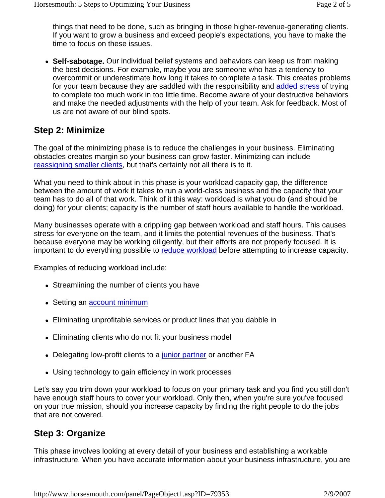things that need to be done, such as bringing in those higher-revenue-generating clients. If you want to grow a business and exceed people's expectations, you have to make the time to focus on these issues.

• Self-sabotage. Our individual belief systems and behaviors can keep us from making the best decisions. For example, maybe you are someone who has a tendency to overcommit or underestimate how long it takes to complete a task. This creates problems for your team because they are saddled with the responsibility and added stress of trying to complete too much work in too little time. Become aware of your destructive behaviors and make the needed adjustments with the help of your team. Ask for feedback. Most of us are not aware of our blind spots.

## **Step 2: Minimize**

The goal of the minimizing phase is to reduce the challenges in your business. Eliminating obstacles creates margin so your business can grow faster. Minimizing can include reassigning smaller clients, but that's certainly not all there is to it.

What you need to think about in this phase is your workload capacity gap, the difference between the amount of work it takes to run a world-class business and the capacity that your team has to do all of that work. Think of it this way: workload is what you do (and should be doing) for your clients; capacity is the number of staff hours available to handle the workload.

Many businesses operate with a crippling gap between workload and staff hours. This causes stress for everyone on the team, and it limits the potential revenues of the business. That's because everyone may be working diligently, but their efforts are not properly focused. It is important to do everything possible to reduce workload before attempting to increase capacity.

Examples of reducing workload include:

- Streamlining the number of clients you have
- Setting an **account minimum**
- Eliminating unprofitable services or product lines that you dabble in
- Eliminating clients who do not fit your business model
- Delegating low-profit clients to a junior partner or another FA
- Using technology to gain efficiency in work processes

Let's say you trim down your workload to focus on your primary task and you find you still don't have enough staff hours to cover your workload. Only then, when you're sure you've focused on your true mission, should you increase capacity by finding the right people to do the jobs that are not covered.

# **Step 3: Organize**

This phase involves looking at every detail of your business and establishing a workable infrastructure. When you have accurate information about your business infrastructure, you are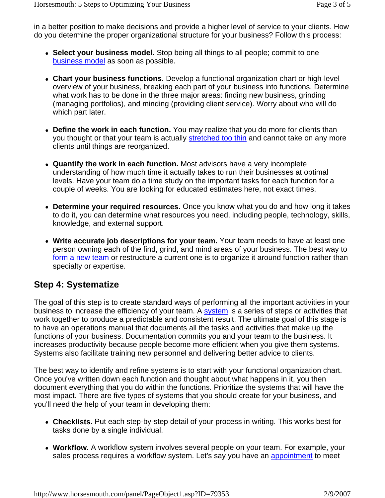in a better position to make decisions and provide a higher level of service to your clients. How do you determine the proper organizational structure for your business? Follow this process:

- **Select your business model.** Stop being all things to all people; commit to one business model as soon as possible.
- Chart your business functions. Develop a functional organization chart or high-level overview of your business, breaking each part of your business into functions. Determine what work has to be done in the three major areas: finding new business, grinding (managing portfolios), and minding (providing client service). Worry about who will do which part later.
- Define the work in each function. You may realize that you do more for clients than you thought or that your team is actually stretched too thin and cannot take on any more clients until things are reorganized.
- **Quantify the work in each function.** Most advisors have a very incomplete understanding of how much time it actually takes to run their businesses at optimal levels. Have your team do a time study on the important tasks for each function for a couple of weeks. You are looking for educated estimates here, not exact times.
- **Determine your required resources.** Once you know what you do and how long it takes to do it, you can determine what resources you need, including people, technology, skills, knowledge, and external support.
- Write accurate job descriptions for your team. Your team needs to have at least one person owning each of the find, grind, and mind areas of your business. The best way to form a new team or restructure a current one is to organize it around function rather than specialty or expertise.

## **Step 4: Systematize**

The goal of this step is to create standard ways of performing all the important activities in your business to increase the efficiency of your team. A system is a series of steps or activities that work together to produce a predictable and consistent result. The ultimate goal of this stage is to have an operations manual that documents all the tasks and activities that make up the functions of your business. Documentation commits you and your team to the business. It increases productivity because people become more efficient when you give them systems. Systems also facilitate training new personnel and delivering better advice to clients.

The best way to identify and refine systems is to start with your functional organization chart. Once you've written down each function and thought about what happens in it, you then document everything that you do within the functions. Prioritize the systems that will have the most impact. There are five types of systems that you should create for your business, and you'll need the help of your team in developing them:

- Checklists. Put each step-by-step detail of your process in writing. This works best for tasks done by a single individual.
- **Workflow.** A workflow system involves several people on your team. For example, your sales process requires a workflow system. Let's say you have an appointment to meet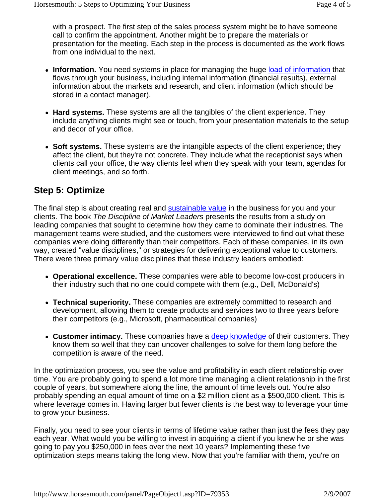with a prospect. The first step of the sales process system might be to have someone call to confirm the appointment. Another might be to prepare the materials or presentation for the meeting. Each step in the process is documented as the work flows from one individual to the next.

- Information. You need systems in place for managing the huge load of information that flows through your business, including internal information (financial results), external information about the markets and research, and client information (which should be stored in a contact manager).
- Hard systems. These systems are all the tangibles of the client experience. They include anything clients might see or touch, from your presentation materials to the setup and decor of your office.
- **Soft systems.** These systems are the intangible aspects of the client experience; they affect the client, but they're not concrete. They include what the receptionist says when clients call your office, the way clients feel when they speak with your team, agendas for client meetings, and so forth.

# **Step 5: Optimize**

The final step is about creating real and sustainable value in the business for you and your clients. The book *The Discipline of Market Leaders* presents the results from a study on leading companies that sought to determine how they came to dominate their industries. The management teams were studied, and the customers were interviewed to find out what these companies were doing differently than their competitors. Each of these companies, in its own way, created "value disciplines," or strategies for delivering exceptional value to customers. There were three primary value disciplines that these industry leaders embodied:

- **Operational excellence.** These companies were able to become low-cost producers in their industry such that no one could compete with them (e.g., Dell, McDonald's)
- **Technical superiority.** These companies are extremely committed to research and development, allowing them to create products and services two to three years before their competitors (e.g., Microsoft, pharmaceutical companies)
- Customer intimacy. These companies have a deep knowledge of their customers. They know them so well that they can uncover challenges to solve for them long before the competition is aware of the need.

In the optimization process, you see the value and profitability in each client relationship over time. You are probably going to spend a lot more time managing a client relationship in the first couple of years, but somewhere along the line, the amount of time levels out. You're also probably spending an equal amount of time on a \$2 million client as a \$500,000 client. This is where leverage comes in. Having larger but fewer clients is the best way to leverage your time to grow your business.

Finally, you need to see your clients in terms of lifetime value rather than just the fees they pay each year. What would you be willing to invest in acquiring a client if you knew he or she was going to pay you \$250,000 in fees over the next 10 years? Implementing these five optimization steps means taking the long view. Now that you're familiar with them, you're on